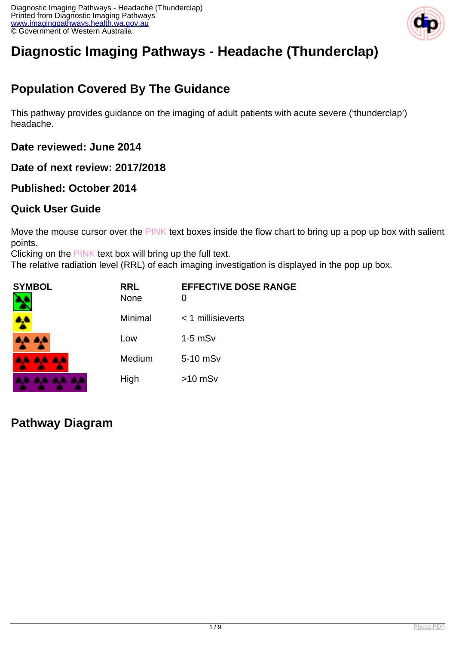

# **Diagnostic Imaging Pathways - Headache (Thunderclap)**

## **Population Covered By The Guidance**

This pathway provides guidance on the imaging of adult patients with acute severe ('thunderclap') headache.

**Date reviewed: June 2014**

**Date of next review: 2017/2018**

### **Published: October 2014**

### **Quick User Guide**

Move the mouse cursor over the PINK text boxes inside the flow chart to bring up a pop up box with salient points.

Clicking on the PINK text box will bring up the full text.

The relative radiation level (RRL) of each imaging investigation is displayed in the pop up box.

| SYMBOL   | <b>RRL</b><br><b>None</b> | <b>EFFECTIVE DOSE RANGE</b> |
|----------|---------------------------|-----------------------------|
| 4        | Minimal                   | $<$ 1 millisieverts         |
| 4,4 4,4  | Low                       | $1-5$ mSv                   |
| AA AA AA | Medium                    | 5-10 mSv                    |
|          | High                      | $>10$ mSv                   |

**Pathway Diagram**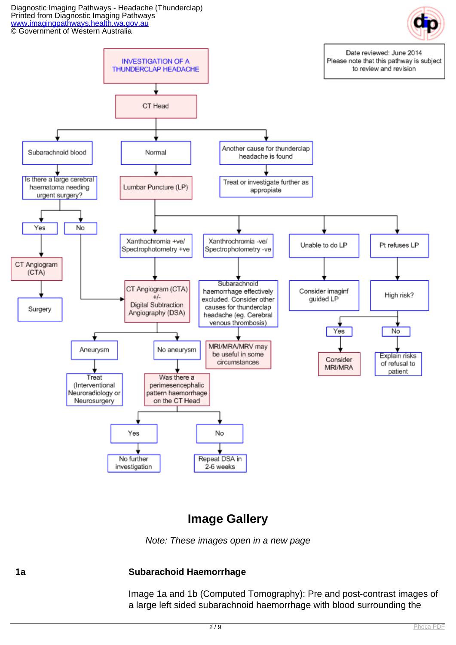Diagnostic Imaging Pathways - Headache (Thunderclap) Printed from Diagnostic Imaging Pathways [www.imagingpathways.health.wa.gov.au](http://www.imagingpathways.health.wa.gov.au/) © Government of Western Australia



### **Image Gallery**

Note: These images open in a new page

#### **1a Subarachoid Haemorrhage**

Image 1a and 1b (Computed Tomography): Pre and post-contrast images of a large left sided subarachnoid haemorrhage with blood surrounding the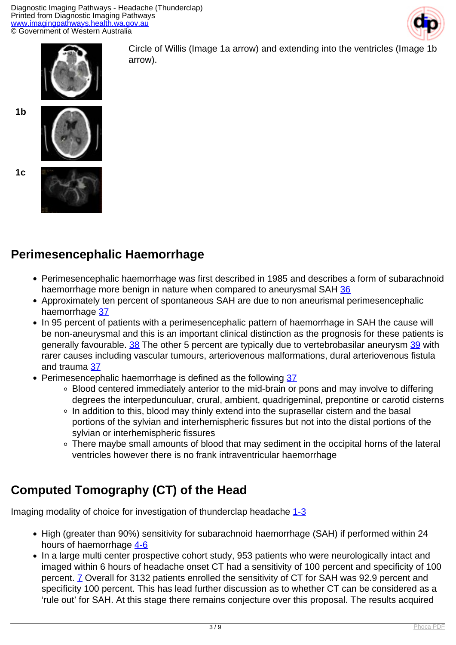



Circle of Willis (Image 1a arrow) and extending into the ventricles (Image 1b arrow).





**1c**



## **Perimesencephalic Haemorrhage**

- Perimesencephalic haemorrhage was first described in 1985 and describes a form of subarachnoid haemorrhage more benign in nature when compared to aneurysmal SAH [36](index.php?option=com_content&view=article&id=65&tab=references#36)
- Approximately ten percent of spontaneous SAH are due to non aneurismal perimesencephalic haemorrhage [37](index.php?option=com_content&view=article&id=65&tab=references#37)
- In 95 percent of patients with a perimesencephalic pattern of haemorrhage in SAH the cause will be non-aneurysmal and this is an important clinical distinction as the prognosis for these patients is generally favourable. [38](index.php?option=com_content&view=article&id=65&tab=references#38) The other 5 percent are typically due to vertebrobasilar aneurysm [39](index.php?option=com_content&view=article&id=65&tab=references#39) with rarer causes including vascular tumours, arteriovenous malformations, dural arteriovenous fistula and trauma [37](index.php?option=com_content&view=article&id=65&tab=references#37)
- Perimesencephalic haemorrhage is defined as the following [37](index.php?option=com_content&view=article&id=65&tab=references#37)
	- Blood centered immediately anterior to the mid-brain or pons and may involve to differing degrees the interpedunculuar, crural, ambient, quadrigeminal, prepontine or carotid cisterns
	- ∘ In addition to this, blood may thinly extend into the suprasellar cistern and the basal portions of the sylvian and interhemispheric fissures but not into the distal portions of the sylvian or interhemispheric fissures
	- There maybe small amounts of blood that may sediment in the occipital horns of the lateral ventricles however there is no frank intraventricular haemorrhage

## **Computed Tomography (CT) of the Head**

Imaging modality of choice for investigation of thunderclap headache [1-3](index.php?option=com_content&view=article&id=65&tab=references#1)

- High (greater than 90%) sensitivity for subarachnoid haemorrhage (SAH) if performed within 24 hours of haemorrhage [4-6](index.php?option=com_content&view=article&id=65&tab=references#4)
- In a large multi center prospective cohort study, 953 patients who were neurologically intact and imaged within 6 hours of headache onset CT had a sensitivity of 100 percent and specificity of 100 percent. [7](index.php?option=com_content&view=article&id=65&tab=references#7) Overall for 3132 patients enrolled the sensitivity of CT for SAH was 92.9 percent and specificity 100 percent. This has lead further discussion as to whether CT can be considered as a 'rule out' for SAH. At this stage there remains conjecture over this proposal. The results acquired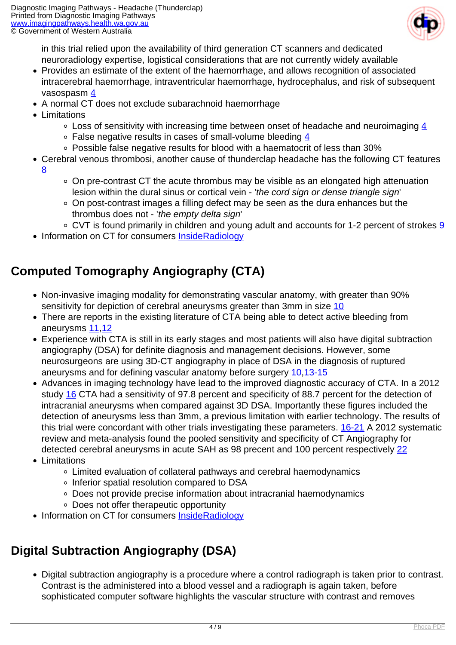

in this trial relied upon the availability of third generation CT scanners and dedicated neuroradiology expertise, logistical considerations that are not currently widely available

- Provides an estimate of the extent of the haemorrhage, and allows recognition of associated intracerebral haemorrhage, intraventricular haemorrhage, hydrocephalus, and risk of subsequent
- vasospasm [4](index.php?option=com_content&view=article&id=65&tab=references#4)
- A normal CT does not exclude subarachnoid haemorrhage
- Limitations
	- $\circ$  Loss of sensitivity with increasing time between onset of headache and neuroimaging [4](index.php?option=com_content&view=article&id=65&tab=references#4)
	- False negative results in cases of small-volume bleeding [4](index.php?option=com_content&view=article&id=65&tab=references#4)
	- Possible false negative results for blood with a haematocrit of less than 30%
- Cerebral venous thrombosi, another cause of thunderclap headache has the following CT features [8](index.php?option=com_content&view=article&id=65&tab=references#8)
	- On pre-contrast CT the acute thrombus may be visible as an elongated high attenuation lesion within the dural sinus or cortical vein - 'the cord sign or dense triangle sign'
	- On post-contrast images a filling defect may be seen as the dura enhances but the thrombus does not - 'the empty delta sign'
	- CVT is found primarily in children and young adult and accounts for 1-2 percent of strokes [9](index.php?option=com_content&view=article&id=65&tab=references#9)
- Information on CT for consumers [InsideRadiology](http://insideradiology.com.au/pages/view.php?T_id=61#.U6pHdnbc-ec)

## **Computed Tomography Angiography (CTA)**

- Non-invasive imaging modality for demonstrating vascular anatomy, with greater than 90% sensitivity for depiction of cerebral aneurysms greater than 3mm in size [10](index.php?option=com_content&view=article&id=65&tab=references#10)
- There are reports in the existing literature of CTA being able to detect active bleeding from aneurysms [11,](index.php?option=com_content&view=article&id=65&tab=references#11)[12](index.php?option=com_content&view=article&id=65&tab=references#12)
- Experience with CTA is still in its early stages and most patients will also have digital subtraction angiography (DSA) for definite diagnosis and management decisions. However, some neurosurgeons are using 3D-CT angiography in place of DSA in the diagnosis of ruptured aneurysms and for defining vascular anatomy before surgery [10,](index.php?option=com_content&view=article&id=65&tab=references#10)[13-15](index.php?option=com_content&view=article&id=65&tab=references#16)
- Advances in imaging technology have lead to the improved diagnostic accuracy of CTA. In a 2012 study [16](index.php?option=com_content&view=article&id=65&tab=references#16) CTA had a sensitivity of 97.8 percent and specificity of 88.7 percent for the detection of intracranial aneurysms when compared against 3D DSA. Importantly these figures included the detection of aneurysms less than 3mm, a previous limitation with earlier technology. The results of this trial were concordant with other trials investigating these parameters. [16-21](index.php?option=com_content&view=article&id=65&tab=references#16) A 2012 systematic review and meta-analysis found the pooled sensitivity and specificity of CT Angiography for detected cerebral aneurysms in acute SAH as 98 precent and 100 percent respectively [22](index.php?option=com_content&view=article&id=65&tab=references#22)
- Limitations
	- Limited evaluation of collateral pathways and cerebral haemodynamics
	- o Inferior spatial resolution compared to DSA
	- Does not provide precise information about intracranial haemodynamics
	- Does not offer therapeutic opportunity
- Information on CT for consumers [InsideRadiology](http://insideradiology.com.au/pages/view.php?T_id=61#.U6pHdnbc-ec)

## **Digital Subtraction Angiography (DSA)**

Digital subtraction angiography is a procedure where a control radiograph is taken prior to contrast. Contrast is the administered into a blood vessel and a radiograph is again taken, before sophisticated computer software highlights the vascular structure with contrast and removes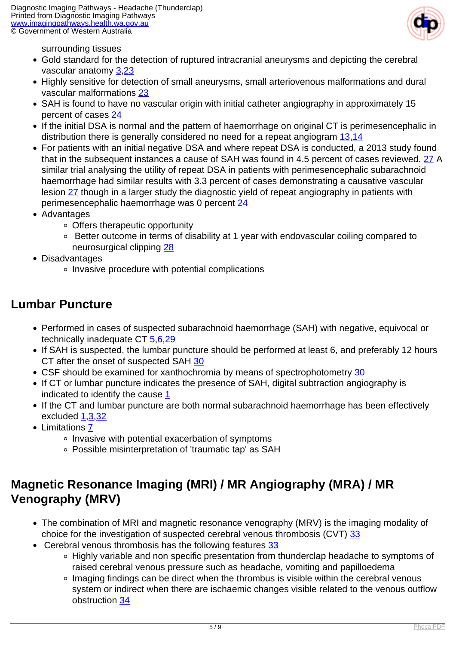

surrounding tissues

- Gold standard for the detection of ruptured intracranial aneurysms and depicting the cerebral vascular anatomy [3](index.php?option=com_content&view=article&id=65&tab=references#3),[23](index.php?option=com_content&view=article&id=65&tab=references#12)
- Highly sensitive for detection of small aneurysms, small arteriovenous malformations and dural vascular malformations [23](index.php?option=com_content&view=article&id=65&tab=references#12)
- SAH is found to have no vascular origin with initial catheter angiography in approximately 15 percent of cases [24](index.php?option=com_content&view=article&id=65&tab=references#24)
- If the initial DSA is normal and the pattern of haemorrhage on original CT is perimesencephalic in distribution there is generally considered no need for a repeat angiogram [13](index.php?option=com_content&view=article&id=65&tab=references#13)[,14](index.php?option=com_content&view=article&id=65&tab=references#14)
- For patients with an initial negative DSA and where repeat DSA is conducted, a 2013 study found that in the subsequent instances a cause of SAH was found in 4.5 percent of cases reviewed. [27](index.php?option=com_content&view=article&id=65&tab=references#27) A similar trial analysing the utility of repeat DSA in patients with perimesencephalic subarachnoid haemorrhage had similar results with 3.3 percent of cases demonstrating a causative vascular lesion [27](index.php?option=com_content&view=article&id=65&tab=references#27) though in a larger study the diagnostic yield of repeat angiography in patients with perimesencephalic haemorrhage was 0 percent [24](index.php?option=com_content&view=article&id=65&tab=references#24)
- Advantages
	- Offers therapeutic opportunity
	- Better outcome in terms of disability at 1 year with endovascular coiling compared to neurosurgical clipping [28](index.php?option=com_content&view=article&id=65&tab=references#28)
- Disadvantages
	- Invasive procedure with potential complications

### **Lumbar Puncture**

- Performed in cases of suspected subarachnoid haemorrhage (SAH) with negative, equivocal or technically inadequate CT [5](index.php?option=com_content&view=article&id=65&tab=references#5),[6](index.php?option=com_content&view=article&id=65&tab=references#6),[29](index.php?option=com_content&view=article&id=65&tab=references#29)
- If SAH is suspected, the lumbar puncture should be performed at least 6, and preferably 12 hours CT after the onset of suspected SAH [30](index.php?option=com_content&view=article&id=65&tab=references#30)
- CSF should be examined for xanthochromia by means of spectrophotometry [30](index.php?option=com_content&view=article&id=65&tab=references#30)
- If CT or lumbar puncture indicates the presence of SAH, digital subtraction angiography is indicated to identify the cause [1](index.php?option=com_content&view=article&id=65&tab=references#1)
- If the CT and lumbar puncture are both normal subarachnoid haemorrhage has been effectively excluded [1](index.php?option=com_content&view=article&id=65&tab=references#1),[3](index.php?option=com_content&view=article&id=65&tab=references#3),[32](index.php?option=com_content&view=article&id=65&tab=references#32)
- Limitations [7](index.php?option=com_content&view=article&id=65&tab=references#7)
	- Invasive with potential exacerbation of symptoms
	- Possible misinterpretation of 'traumatic tap' as SAH

## **Magnetic Resonance Imaging (MRI) / MR Angiography (MRA) / MR Venography (MRV)**

- The combination of MRI and magnetic resonance venography (MRV) is the imaging modality of choice for the investigation of suspected cerebral venous thrombosis (CVT) [33](index.php?option=com_content&view=article&id=65&tab=references#33)
- Cerebral venous thrombosis has the following features [33](index.php?option=com_content&view=article&id=65&tab=references#33)
	- Highly variable and non specific presentation from thunderclap headache to symptoms of raised cerebral venous pressure such as headache, vomiting and papilloedema
	- Imaging findings can be direct when the thrombus is visible within the cerebral venous system or indirect when there are ischaemic changes visible related to the venous outflow obstruction [34](index.php?option=com_content&view=article&id=65&tab=references#34)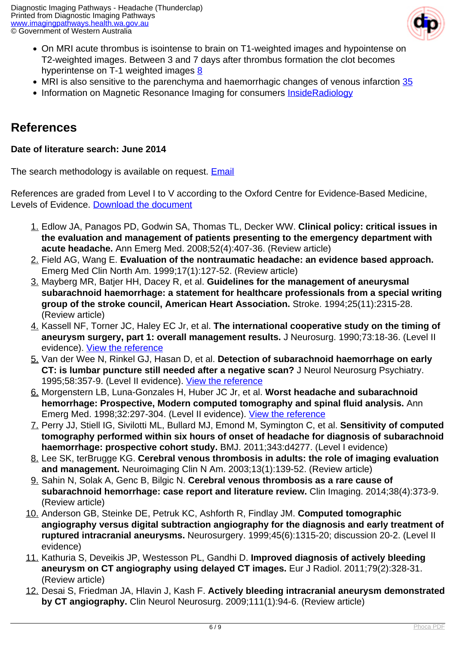

- On MRI acute thrombus is isointense to brain on T1-weighted images and hypointense on T2-weighted images. Between 3 and 7 days after thrombus formation the clot becomes hyperintense on T-1 weighted images [8](index.php?option=com_content&view=article&id=65&tab=references#8)
- MRI is also sensitive to the parenchyma and haemorrhagic changes of venous infarction [35](index.php?option=com_content&view=article&id=65&tab=references#35)
- Information on Magnetic Resonance Imaging for consumers [InsideRadiology](http://insideradiology.com.au/pages/view.php?T_id=53#.U6pISnbc-ec)

### **References**

#### **Date of literature search: June 2014**

The search methodology is available on request. [Email](index.php/contact-us)

References are graded from Level I to V according to the Oxford Centre for Evidence-Based Medicine, Levels of Evidence. [Download the document](http://www.cebm.net/wp-content/uploads/2014/06/CEBM-Levels-of-Evidence-2.1.pdf)

- 1. Edlow JA, Panagos PD, Godwin SA, Thomas TL, Decker WW. **Clinical policy: critical issues in the evaluation and management of patients presenting to the emergency department with acute headache.** Ann Emerg Med. 2008;52(4):407-36. (Review article)
- 2. Field AG, Wang E. **Evaluation of the nontraumatic headache: an evidence based approach.** Emerg Med Clin North Am. 1999;17(1):127-52. (Review article)
- 3. Mayberg MR, Batjer HH, Dacey R, et al. **Guidelines for the management of aneurysmal subarachnoid haemorrhage: a statement for healthcare professionals from a special writing group of the stroke council, American Heart Association.** Stroke. 1994;25(11):2315-28. (Review article)
- 4. Kassell NF, Torner JC, Haley EC Jr, et al. **The international cooperative study on the timing of aneurysm surgery, part 1: overall management results.** J Neurosurg. 1990;73:18-36. (Level II evidence). [View the reference](http://www.ncbi.nlm.nih.gov/entrez/query.fcgi?cmd=Retrieve&db=pubmed&dopt=Abstract&list_uids=2191090)
- 5. Van der Wee N, Rinkel GJ, Hasan D, et al. **Detection of subarachnoid haemorrhage on early CT: is lumbar puncture still needed after a negative scan?** J Neurol Neurosurg Psychiatry. 1995;58:357-9. (Level II evidence). [View the reference](http://www.ncbi.nlm.nih.gov/entrez/query.fcgi?cmd=Retrieve&db=pubmed&dopt=Abstract&list_uids=7897421)
- 6. Morgenstern LB, Luna-Gonzales H, Huber JC Jr, et al. **Worst headache and subarachnoid hemorrhage: Prospective, Modern computed tomography and spinal fluid analysis.** Ann Emerg Med. 1998;32:297-304. (Level II evidence). [View the reference](http://www.ncbi.nlm.nih.gov/entrez/query.fcgi?cmd=Retrieve&db=pubmed&dopt=Abstract&list_uids=9737490)
- 7. Perry JJ, Stiell IG, Sivilotti ML, Bullard MJ, Emond M, Symington C, et al. **Sensitivity of computed tomography performed within six hours of onset of headache for diagnosis of subarachnoid haemorrhage: prospective cohort study.** BMJ. 2011;343:d4277. (Level I evidence)
- 8. Lee SK, terBrugge KG. **Cerebral venous thrombosis in adults: the role of imaging evaluation and management.** Neuroimaging Clin N Am. 2003;13(1):139-52. (Review article)
- 9. Sahin N, Solak A, Genc B, Bilgic N. **Cerebral venous thrombosis as a rare cause of subarachnoid hemorrhage: case report and literature review.** Clin Imaging. 2014;38(4):373-9. (Review article)
- 10. Anderson GB, Steinke DE, Petruk KC, Ashforth R, Findlay JM. **Computed tomographic angiography versus digital subtraction angiography for the diagnosis and early treatment of ruptured intracranial aneurysms.** Neurosurgery. 1999;45(6):1315-20; discussion 20-2. (Level II evidence)
- 11. Kathuria S, Deveikis JP, Westesson PL, Gandhi D. **Improved diagnosis of actively bleeding aneurysm on CT angiography using delayed CT images.** Eur J Radiol. 2011;79(2):328-31. (Review article)
- 12. Desai S, Friedman JA, Hlavin J, Kash F. **Actively bleeding intracranial aneurysm demonstrated by CT angiography.** Clin Neurol Neurosurg. 2009;111(1):94-6. (Review article)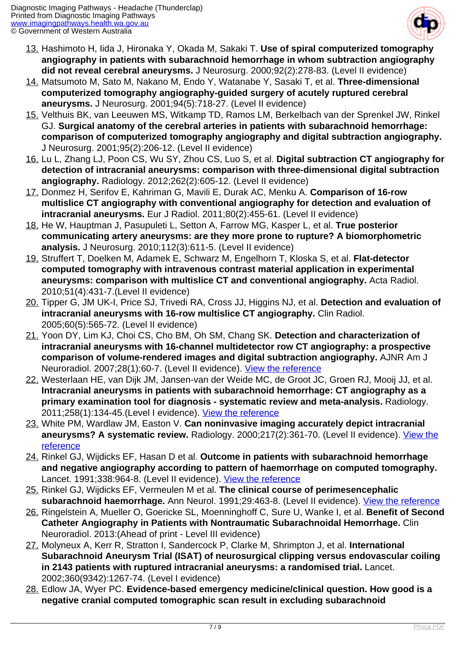

- 13. Hashimoto H, Iida J, Hironaka Y, Okada M, Sakaki T. **Use of spiral computerized tomography angiography in patients with subarachnoid hemorrhage in whom subtraction angiography did not reveal cerebral aneurysms.** J Neurosurg. 2000;92(2):278-83. (Level II evidence)
- 14. Matsumoto M, Sato M, Nakano M, Endo Y, Watanabe Y, Sasaki T, et al. **Three-dimensional computerized tomography angiography-guided surgery of acutely ruptured cerebral aneurysms.** J Neurosurg. 2001;94(5):718-27. (Level II evidence)
- 15. Velthuis BK, van Leeuwen MS, Witkamp TD, Ramos LM, Berkelbach van der Sprenkel JW, Rinkel GJ. **Surgical anatomy of the cerebral arteries in patients with subarachnoid hemorrhage: comparison of computerized tomography angiography and digital subtraction angiography.** J Neurosurg. 2001;95(2):206-12. (Level II evidence)
- 16. Lu L, Zhang LJ, Poon CS, Wu SY, Zhou CS, Luo S, et al. **Digital subtraction CT angiography for detection of intracranial aneurysms: comparison with three-dimensional digital subtraction angiography.** Radiology. 2012;262(2):605-12. (Level II evidence)
- 17. Donmez H, Serifov E, Kahriman G, Mavili E, Durak AC, Menku A. **Comparison of 16-row multislice CT angiography with conventional angiography for detection and evaluation of intracranial aneurysms.** Eur J Radiol. 2011;80(2):455-61. (Level II evidence)
- 18. He W, Hauptman J, Pasupuleti L, Setton A, Farrow MG, Kasper L, et al. **True posterior communicating artery aneurysms: are they more prone to rupture? A biomorphometric analysis.** J Neurosurg. 2010;112(3):611-5. (Level II evidence)
- 19. Struffert T, Doelken M, Adamek E, Schwarz M, Engelhorn T, Kloska S, et al. **Flat-detector computed tomography with intravenous contrast material application in experimental aneurysms: comparison with multislice CT and conventional angiography.** Acta Radiol. 2010;51(4):431-7.(Level II evidence)
- 20. Tipper G, JM UK-I, Price SJ, Trivedi RA, Cross JJ, Higgins NJ, et al. **Detection and evaluation of intracranial aneurysms with 16-row multislice CT angiography.** Clin Radiol. 2005;60(5):565-72. (Level II evidence)
- 21. Yoon DY, Lim KJ, Choi CS, Cho BM, Oh SM, Chang SK. **Detection and characterization of intracranial aneurysms with 16-channel multidetector row CT angiography: a prospective comparison of volume-rendered images and digital subtraction angiography.** AJNR Am J Neuroradiol. 2007;28(1):60-7. (Level II evidence). [View the reference](http://www.ajnr.org/content/28/1/60.long.)
- 22. Westerlaan HE, van Dijk JM, Jansen-van der Weide MC, de Groot JC, Groen RJ, Mooij JJ, et al. **Intracranial aneurysms in patients with subarachnoid hemorrhage: CT angiography as a primary examination tool for diagnosis - systematic review and meta-analysis.** Radiology. 2011;258(1):134-45.(Level I evidence). [View the reference](http://www.ncbi.nlm.nih.gov/pubmed/20935079)
- 23. White PM, Wardlaw JM, Easton V. **Can noninvasive imaging accurately depict intracranial** aneurysms? A systematic review. Radiology. 2000;217(2):361-70. (Level II evidence). *View the* [reference](http://www.ncbi.nlm.nih.gov/pubmed/11058629)
- 24. Rinkel GJ, Wijdicks EF, Hasan D et al. **Outcome in patients with subarachnoid hemorrhage and negative angiography according to pattern of haemorrhage on computed tomography.** Lancet. 1991;338:964-8. (Level II evidence). [View the reference](http://www.ncbi.nlm.nih.gov/entrez/query.fcgi?cmd=Retrieve&db=pubmed&dopt=Abstract&list_uids=1681340)
- 25. Rinkel GJ, Wijdicks EF, Vermeulen M et al. **The clinical course of perimesencephalic subarachnoid haemorrhage.** Ann Neurol. 1991;29:463-8. (Level II evidence). [View the reference](http://www.ncbi.nlm.nih.gov/entrez/query.fcgi?cmd=Retrieve&db=pubmed&dopt=Abstract&list_uids=1859176)
- 26. Ringelstein A, Mueller O, Goericke SL, Moenninghoff C, Sure U, Wanke I, et al. **Benefit of Second Catheter Angiography in Patients with Nontraumatic Subarachnoidal Hemorrhage.** Clin Neuroradiol. 2013:(Ahead of print - Level III evidence)
- 27. Molyneux A, Kerr R, Stratton I, Sandercock P, Clarke M, Shrimpton J, et al. **International Subarachnoid Aneurysm Trial (ISAT) of neurosurgical clipping versus endovascular coiling in 2143 patients with ruptured intracranial aneurysms: a randomised trial.** Lancet. 2002;360(9342):1267-74. (Level I evidence)
- 28. Edlow JA, Wyer PC. **Evidence-based emergency medicine/clinical question. How good is a negative cranial computed tomographic scan result in excluding subarachnoid**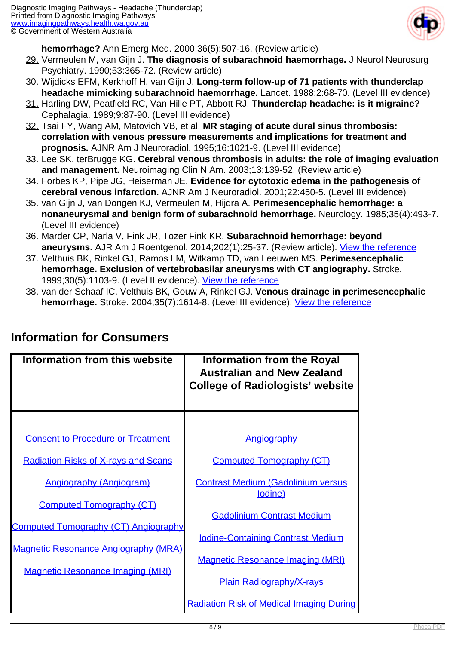

**hemorrhage?** Ann Emerg Med. 2000;36(5):507-16. (Review article)

- 29. Vermeulen M, van Gijn J. **The diagnosis of subarachnoid haemorrhage.** J Neurol Neurosurg Psychiatry. 1990;53:365-72. (Review article)
- 30. Wijdicks EFM, Kerkhoff H, van Gijn J. **Long-term follow-up of 71 patients with thunderclap headache mimicking subarachnoid haemorrhage.** Lancet. 1988;2:68-70. (Level III evidence)
- 31. Harling DW, Peatfield RC, Van Hille PT, Abbott RJ. **Thunderclap headache: is it migraine?** Cephalagia. 1989;9:87-90. (Level III evidence)
- 32. Tsai FY, Wang AM, Matovich VB, et al. **MR staging of acute dural sinus thrombosis: correlation with venous pressure measurements and implications for treatment and prognosis.** AJNR Am J Neuroradiol. 1995;16:1021-9. (Level III evidence)
- 33. Lee SK, terBrugge KG. **Cerebral venous thrombosis in adults: the role of imaging evaluation and management.** Neuroimaging Clin N Am. 2003;13:139-52. (Review article)
- 34. Forbes KP, Pipe JG, Heiserman JE. **Evidence for cytotoxic edema in the pathogenesis of cerebral venous infarction.** AJNR Am J Neuroradiol. 2001;22:450-5. (Level III evidence)
- 35. van Gijn J, van Dongen KJ, Vermeulen M, Hijdra A. **Perimesencephalic hemorrhage: a nonaneurysmal and benign form of subarachnoid hemorrhage.** Neurology. 1985;35(4):493-7. (Level III evidence)
- 36. Marder CP, Narla V, Fink JR, Tozer Fink KR. **Subarachnoid hemorrhage: beyond aneurysms.** AJR Am J Roentgenol. 2014;202(1):25-37. (Review article). [View the reference](http://www.ajronline.org/doi/abs/10.2214/AJR.12.9749)
- 37. Velthuis BK, Rinkel GJ, Ramos LM, Witkamp TD, van Leeuwen MS. **Perimesencephalic hemorrhage. Exclusion of vertebrobasilar aneurysms with CT angiography.** Stroke. 1999;30(5):1103-9. (Level II evidence). [View the reference](http://stroke.ahajournals.org/content/30/5/1103.long)
- 38. van der Schaaf IC, Velthuis BK, Gouw A, Rinkel GJ. **Venous drainage in perimesencephalic hemorrhage.** Stroke. 2004;35(7):1614-8. (Level III evidence). [View the reference](http://stroke.ahajournals.org/content/35/7/1614.long)

| Information from this website                                                          | <b>Information from the Royal</b><br><b>Australian and New Zealand</b><br><b>College of Radiologists' website</b> |
|----------------------------------------------------------------------------------------|-------------------------------------------------------------------------------------------------------------------|
|                                                                                        |                                                                                                                   |
| <b>Consent to Procedure or Treatment</b>                                               | Angiography                                                                                                       |
| <b>Radiation Risks of X-rays and Scans</b>                                             | <b>Computed Tomography (CT)</b>                                                                                   |
| <b>Angiography (Angiogram)</b>                                                         | <b>Contrast Medium (Gadolinium versus</b><br>lodine)                                                              |
| <b>Computed Tomography (CT)</b>                                                        |                                                                                                                   |
| <b>Computed Tomography (CT) Angiography</b>                                            | <b>Gadolinium Contrast Medium</b>                                                                                 |
|                                                                                        | <b>Iodine-Containing Contrast Medium</b>                                                                          |
| <b>Magnetic Resonance Angiography (MRA)</b><br><b>Magnetic Resonance Imaging (MRI)</b> | <b>Magnetic Resonance Imaging (MRI)</b>                                                                           |
|                                                                                        | <b>Plain Radiography/X-rays</b>                                                                                   |
|                                                                                        | <b>Radiation Risk of Medical Imaging During</b>                                                                   |

### **Information for Consumers**